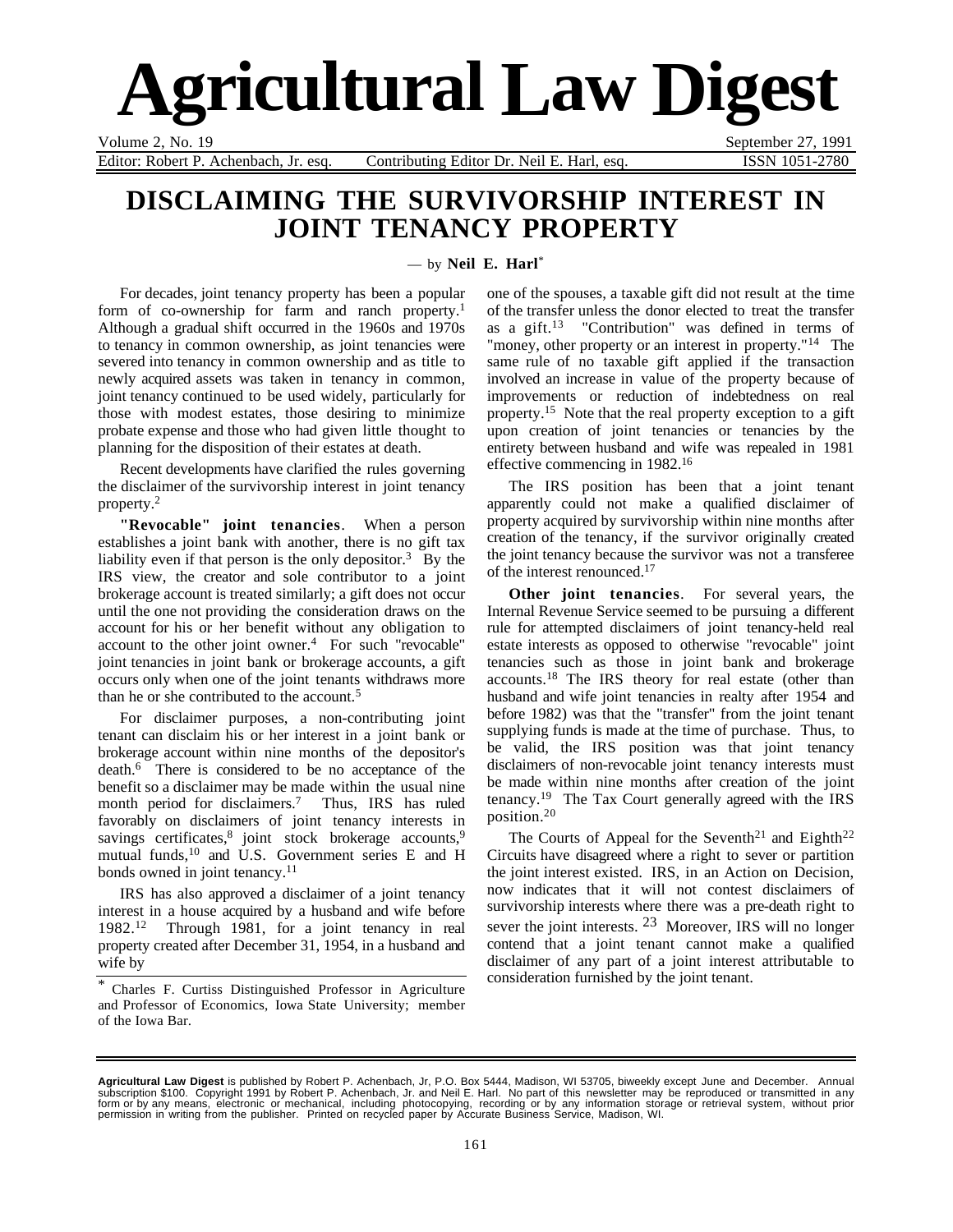# **Agricultural Law Digest**

Volume 2, No. 19 September 27, 1991

Editor: Robert P. Achenbach, Jr. esq. Contributing Editor Dr. Neil E. Harl, esq. ISSN 1051-2780

### **DISCLAIMING THE SURVIVORSHIP INTEREST IN JOINT TENANCY PROPERTY**

— by **Neil E. Harl**\*

For decades, joint tenancy property has been a popular form of co-ownership for farm and ranch property.<sup>1</sup> Although a gradual shift occurred in the 1960s and 1970s to tenancy in common ownership, as joint tenancies were severed into tenancy in common ownership and as title to newly acquired assets was taken in tenancy in common, joint tenancy continued to be used widely, particularly for those with modest estates, those desiring to minimize probate expense and those who had given little thought to planning for the disposition of their estates at death.

Recent developments have clarified the rules governing the disclaimer of the survivorship interest in joint tenancy property.2

**"Revocable" joint tenancies**. When a person establishes a joint bank with another, there is no gift tax liability even if that person is the only depositor.<sup>3</sup> By the IRS view, the creator and sole contributor to a joint brokerage account is treated similarly; a gift does not occur until the one not providing the consideration draws on the account for his or her benefit without any obligation to account to the other joint owner. $4$  For such "revocable" joint tenancies in joint bank or brokerage accounts, a gift occurs only when one of the joint tenants withdraws more than he or she contributed to the account.5

For disclaimer purposes, a non-contributing joint tenant can disclaim his or her interest in a joint bank or brokerage account within nine months of the depositor's death.6 There is considered to be no acceptance of the benefit so a disclaimer may be made within the usual nine month period for disclaimers.<sup>7</sup> Thus, IRS has ruled favorably on disclaimers of joint tenancy interests in savings certificates,<sup>8</sup> joint stock brokerage accounts,<sup>9</sup> mutual funds,10 and U.S. Government series E and H bonds owned in joint tenancy.<sup>11</sup>

IRS has also approved a disclaimer of a joint tenancy interest in a house acquired by a husband and wife before 1982.12 Through 1981, for a joint tenancy in real property created after December 31, 1954, in a husband and wife by

one of the spouses, a taxable gift did not result at the time of the transfer unless the donor elected to treat the transfer as a gift.13 "Contribution" was defined in terms of "money, other property or an interest in property."<sup>14</sup> The same rule of no taxable gift applied if the transaction involved an increase in value of the property because of improvements or reduction of indebtedness on real property.15 Note that the real property exception to a gift upon creation of joint tenancies or tenancies by the entirety between husband and wife was repealed in 1981 effective commencing in 1982.16

The IRS position has been that a joint tenant apparently could not make a qualified disclaimer of property acquired by survivorship within nine months after creation of the tenancy, if the survivor originally created the joint tenancy because the survivor was not a transferee of the interest renounced.17

**Other joint tenancies**. For several years, the Internal Revenue Service seemed to be pursuing a different rule for attempted disclaimers of joint tenancy-held real estate interests as opposed to otherwise "revocable" joint tenancies such as those in joint bank and brokerage accounts.18 The IRS theory for real estate (other than husband and wife joint tenancies in realty after 1954 and before 1982) was that the "transfer" from the joint tenant supplying funds is made at the time of purchase. Thus, to be valid, the IRS position was that joint tenancy disclaimers of non-revocable joint tenancy interests must be made within nine months after creation of the joint tenancy.19 The Tax Court generally agreed with the IRS position.20

The Courts of Appeal for the Seventh<sup>21</sup> and Eighth<sup>22</sup> Circuits have disagreed where a right to sever or partition the joint interest existed. IRS, in an Action on Decision, now indicates that it will not contest disclaimers of survivorship interests where there was a pre-death right to sever the joint interests. <sup>23</sup> Moreover, IRS will no longer contend that a joint tenant cannot make a qualified disclaimer of any part of a joint interest attributable to consideration furnished by the joint tenant.

<sup>\*</sup> Charles F. Curtiss Distinguished Professor in Agriculture and Professor of Economics, Iowa State University; member of the Iowa Bar.

**Agricultural Law Digest** is published by Robert P. Achenbach, Jr, P.O. Box 5444, Madison, WI 53705, biweekly except June and December. Annual<br>subscription \$100. Copyright 1991 by Robert P. Achenbach, Jr. and Neil E. Har permission in writing from the publisher. Printed on recycled paper by Accurate Business Service, Madison, WI.